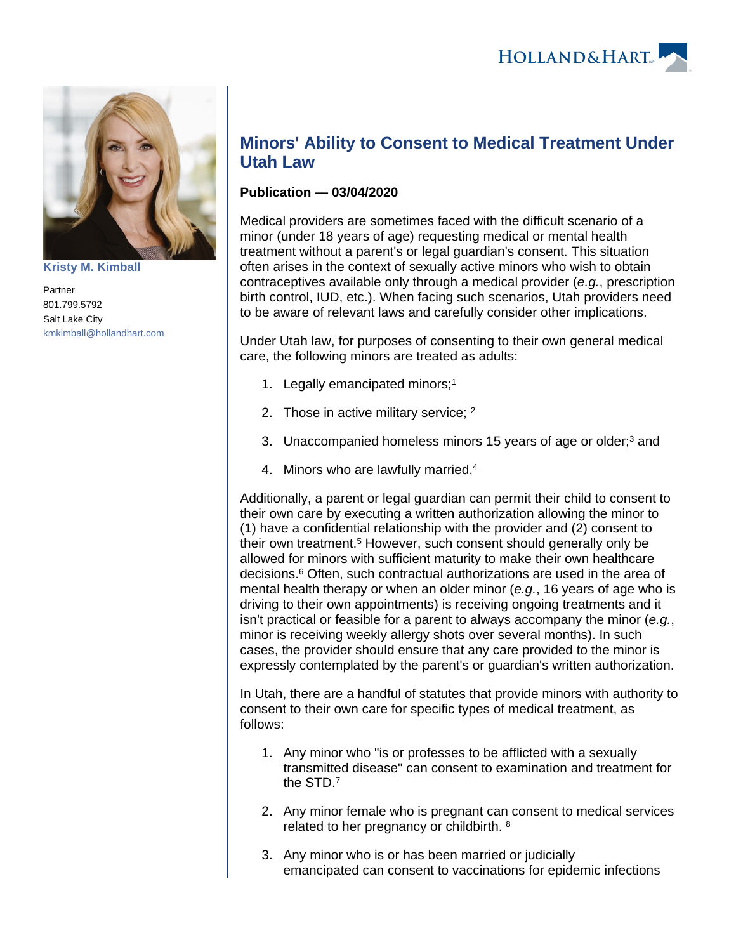

**[Kristy M. Kimball](https://www.hollandhart.com/35820)**

Partner 801.799.5792 Salt Lake City [kmkimball@hollandhart.com](mailto:kmkimball@hollandhart.com)

## **Minors' Ability to Consent to Medical Treatment Under Utah Law**

## **Publication — 03/04/2020**

Medical providers are sometimes faced with the difficult scenario of a minor (under 18 years of age) requesting medical or mental health treatment without a parent's or legal guardian's consent. This situation often arises in the context of sexually active minors who wish to obtain contraceptives available only through a medical provider (e.g., prescription birth control, IUD, etc.). When facing such scenarios, Utah providers need to be aware of relevant laws and carefully consider other implications.

Under Utah law, for purposes of consenting to their own general medical care, the following minors are treated as adults:

- 1. Legally emancipated minors;<sup>1</sup>
- 2. Those in active military service; <sup>2</sup>
- 3. Unaccompanied homeless minors 15 years of age or older;<sup>3</sup> and
- 4. Minors who are lawfully married.<sup>4</sup>

Additionally, a parent or legal guardian can permit their child to consent to their own care by executing a written authorization allowing the minor to (1) have a confidential relationship with the provider and (2) consent to their own treatment.<sup>5</sup> However, such consent should generally only be allowed for minors with sufficient maturity to make their own healthcare decisions.<sup>6</sup> Often, such contractual authorizations are used in the area of mental health therapy or when an older minor (e.g., 16 years of age who is driving to their own appointments) is receiving ongoing treatments and it isn't practical or feasible for a parent to always accompany the minor (e.g., minor is receiving weekly allergy shots over several months). In such cases, the provider should ensure that any care provided to the minor is expressly contemplated by the parent's or guardian's written authorization.

In Utah, there are a handful of statutes that provide minors with authority to consent to their own care for specific types of medical treatment, as follows:

- 1. Any minor who "is or professes to be afflicted with a sexually transmitted disease" can consent to examination and treatment for the STD.<sup>7</sup>
- 2. Any minor female who is pregnant can consent to medical services related to her pregnancy or childbirth. <sup>8</sup>
- 3. Any minor who is or has been married or judicially emancipated can consent to vaccinations for epidemic infections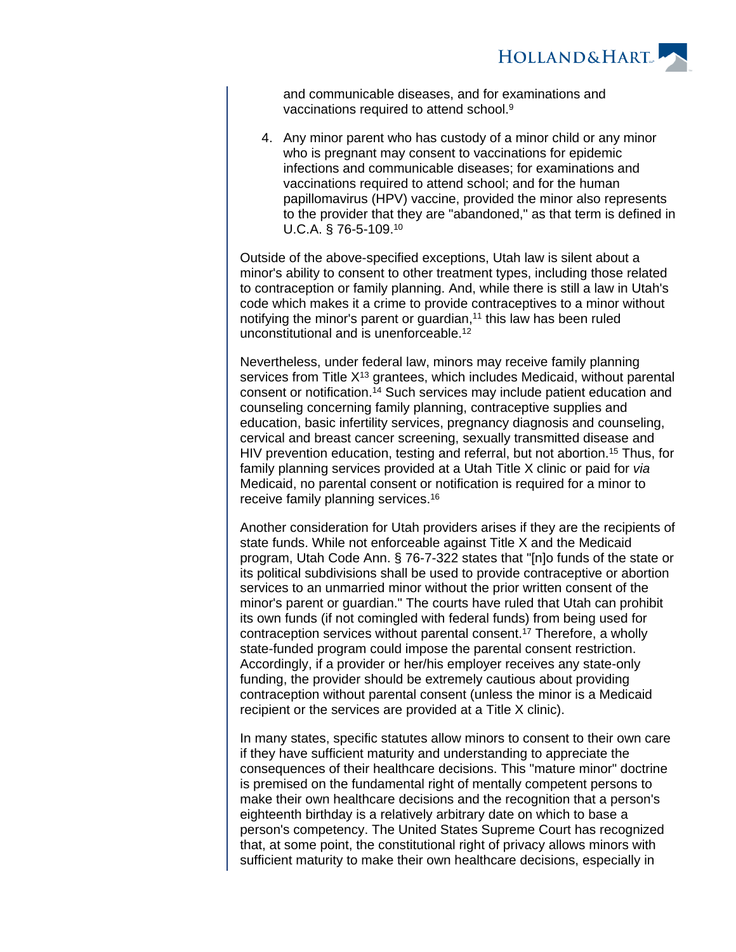

and communicable diseases, and for examinations and vaccinations required to attend school.<sup>9</sup>

4. Any minor parent who has custody of a minor child or any minor who is pregnant may consent to vaccinations for epidemic infections and communicable diseases; for examinations and vaccinations required to attend school; and for the human papillomavirus (HPV) vaccine, provided the minor also represents to the provider that they are "abandoned," as that term is defined in U.C.A. § 76-5-109.<sup>10</sup>

Outside of the above-specified exceptions, Utah law is silent about a minor's ability to consent to other treatment types, including those related to contraception or family planning. And, while there is still a law in Utah's code which makes it a crime to provide contraceptives to a minor without notifying the minor's parent or quardian, $11$  this law has been ruled unconstitutional and is unenforceable.<sup>12</sup>

Nevertheless, under federal law, minors may receive family planning services from Title  $X^{13}$  grantees, which includes Medicaid, without parental consent or notification.<sup>14</sup> Such services may include patient education and counseling concerning family planning, contraceptive supplies and education, basic infertility services, pregnancy diagnosis and counseling, cervical and breast cancer screening, sexually transmitted disease and HIV prevention education, testing and referral, but not abortion.<sup>15</sup> Thus, for family planning services provided at a Utah Title X clinic or paid for via Medicaid, no parental consent or notification is required for a minor to receive family planning services.<sup>16</sup>

Another consideration for Utah providers arises if they are the recipients of state funds. While not enforceable against Title X and the Medicaid program, Utah Code Ann. § 76-7-322 states that "[n]o funds of the state or its political subdivisions shall be used to provide contraceptive or abortion services to an unmarried minor without the prior written consent of the minor's parent or guardian." The courts have ruled that Utah can prohibit its own funds (if not comingled with federal funds) from being used for contraception services without parental consent.<sup>17</sup> Therefore, a wholly state-funded program could impose the parental consent restriction. Accordingly, if a provider or her/his employer receives any state-only funding, the provider should be extremely cautious about providing contraception without parental consent (unless the minor is a Medicaid recipient or the services are provided at a Title X clinic).

In many states, specific statutes allow minors to consent to their own care if they have sufficient maturity and understanding to appreciate the consequences of their healthcare decisions. This "mature minor" doctrine is premised on the fundamental right of mentally competent persons to make their own healthcare decisions and the recognition that a person's eighteenth birthday is a relatively arbitrary date on which to base a person's competency. The United States Supreme Court has recognized that, at some point, the constitutional right of privacy allows minors with sufficient maturity to make their own healthcare decisions, especially in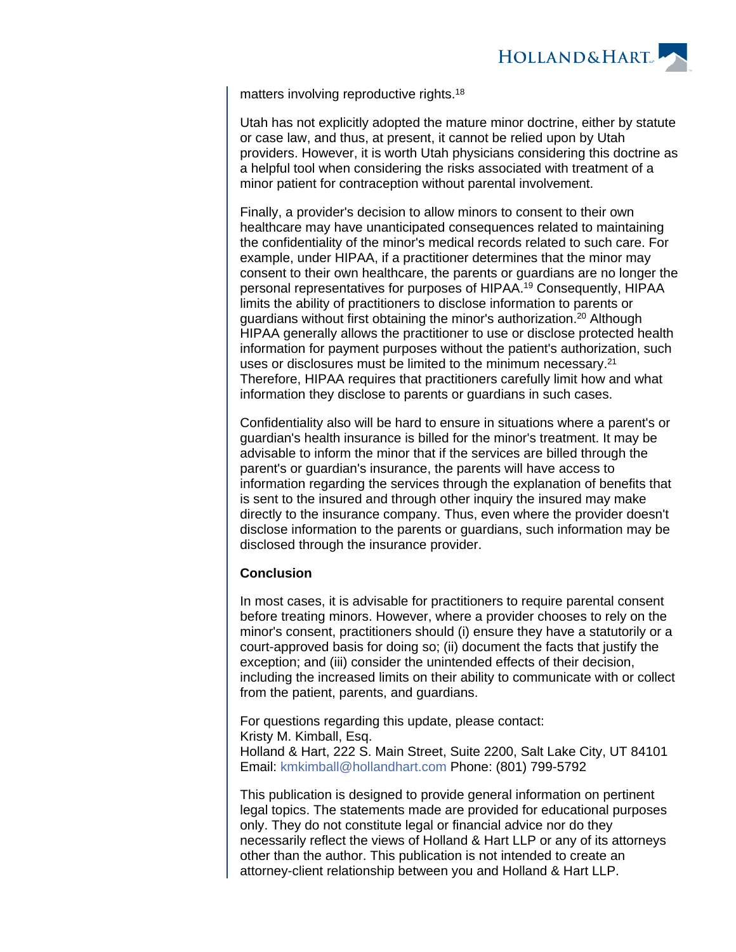

matters involving reproductive rights.<sup>18</sup>

Utah has not explicitly adopted the mature minor doctrine, either by statute or case law, and thus, at present, it cannot be relied upon by Utah providers. However, it is worth Utah physicians considering this doctrine as a helpful tool when considering the risks associated with treatment of a minor patient for contraception without parental involvement.

Finally, a provider's decision to allow minors to consent to their own healthcare may have unanticipated consequences related to maintaining the confidentiality of the minor's medical records related to such care. For example, under HIPAA, if a practitioner determines that the minor may consent to their own healthcare, the parents or guardians are no longer the personal representatives for purposes of HIPAA.<sup>19</sup> Consequently, HIPAA limits the ability of practitioners to disclose information to parents or guardians without first obtaining the minor's authorization.<sup>20</sup> Although HIPAA generally allows the practitioner to use or disclose protected health information for payment purposes without the patient's authorization, such uses or disclosures must be limited to the minimum necessary.<sup>21</sup> Therefore, HIPAA requires that practitioners carefully limit how and what information they disclose to parents or guardians in such cases.

Confidentiality also will be hard to ensure in situations where a parent's or guardian's health insurance is billed for the minor's treatment. It may be advisable to inform the minor that if the services are billed through the parent's or guardian's insurance, the parents will have access to information regarding the services through the explanation of benefits that is sent to the insured and through other inquiry the insured may make directly to the insurance company. Thus, even where the provider doesn't disclose information to the parents or guardians, such information may be disclosed through the insurance provider.

## **Conclusion**

In most cases, it is advisable for practitioners to require parental consent before treating minors. However, where a provider chooses to rely on the minor's consent, practitioners should (i) ensure they have a statutorily or a court-approved basis for doing so; (ii) document the facts that justify the exception; and (iii) consider the unintended effects of their decision, including the increased limits on their ability to communicate with or collect from the patient, parents, and guardians.

For questions regarding this update, please contact: Kristy M. Kimball, Esq. Holland & Hart, 222 S. Main Street, Suite 2200, Salt Lake City, UT 84101 Email: [kmkimball@hollandhart.com](mailto:kmkimball@hollandhart.com) Phone: (801) 799-5792

This publication is designed to provide general information on pertinent legal topics. The statements made are provided for educational purposes only. They do not constitute legal or financial advice nor do they necessarily reflect the views of Holland & Hart LLP or any of its attorneys other than the author. This publication is not intended to create an attorney-client relationship between you and Holland & Hart LLP.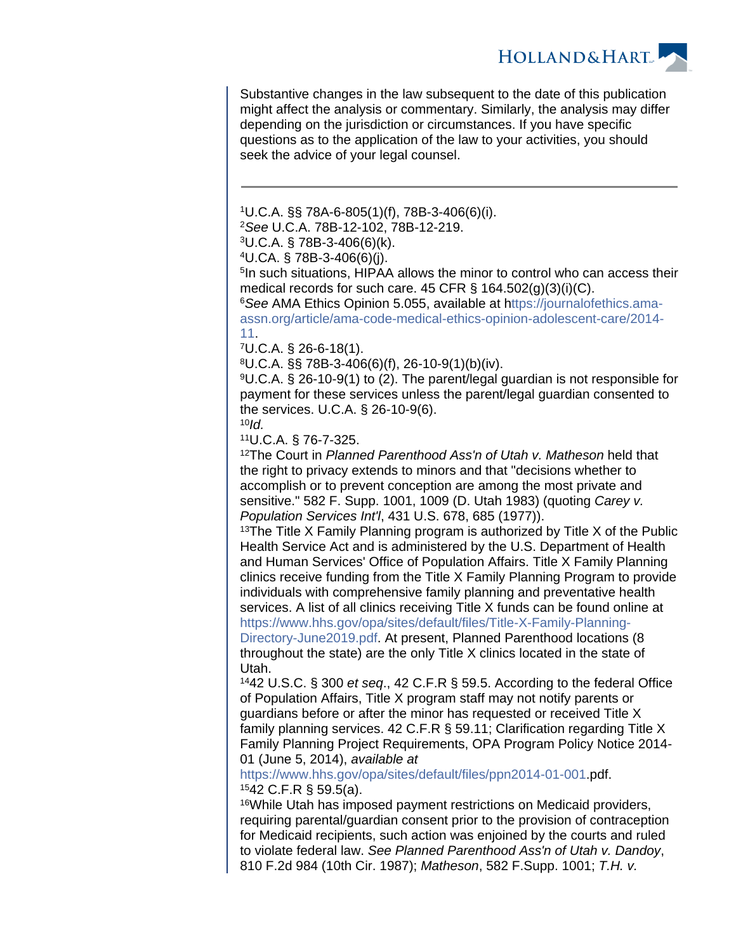**HOLLAND&HART** 

Substantive changes in the law subsequent to the date of this publication might affect the analysis or commentary. Similarly, the analysis may differ depending on the jurisdiction or circumstances. If you have specific questions as to the application of the law to your activities, you should seek the advice of your legal counsel.

<sup>1</sup>U.C.A. §§ 78A-6-805(1)(f), 78B-3-406(6)(i).

<sup>2</sup>See U.C.A. 78B-12-102, 78B-12-219.

 $3U.C.A.$  § 78B-3-406(6)(k).

<sup>4</sup>U.CA. § 78B-3-406(6)(j).

5 In such situations, HIPAA allows the minor to control who can access their medical records for such care. 45 CFR  $\S$  164.502(g)(3)(i)(C).

<sup>6</sup>See AMA Ethics Opinion 5.055, available at h[ttps://journalofethics.ama](ttps://journalofethics.ama-assn.org/article/ama-code-medical-ethics-opinion-adolescent-care/2014-11)[assn.org/article/ama-code-medical-ethics-opinion-adolescent-care/2014-](ttps://journalofethics.ama-assn.org/article/ama-code-medical-ethics-opinion-adolescent-care/2014-11) [11](ttps://journalofethics.ama-assn.org/article/ama-code-medical-ethics-opinion-adolescent-care/2014-11).

<sup>7</sup>U.C.A. § 26-6-18(1).

 ${}^{8}U.C.A.$  §§ 78B-3-406(6)(f), 26-10-9(1)(b)(iv).

<sup>9</sup>U.C.A. § 26-10-9(1) to (2). The parent/legal guardian is not responsible for payment for these services unless the parent/legal guardian consented to the services. U.C.A. § 26-10-9(6).

 $10$ Id.

<sup>11</sup>U.C.A. § 76-7-325.

<sup>12</sup>The Court in Planned Parenthood Ass'n of Utah v. Matheson held that the right to privacy extends to minors and that "decisions whether to accomplish or to prevent conception are among the most private and sensitive." 582 F. Supp. 1001, 1009 (D. Utah 1983) (quoting Carey v. Population Services Int'l, 431 U.S. 678, 685 (1977)).

<sup>13</sup>The Title X Family Planning program is authorized by Title X of the Public Health Service Act and is administered by the U.S. Department of Health and Human Services' Office of Population Affairs. Title X Family Planning clinics receive funding from the Title X Family Planning Program to provide individuals with comprehensive family planning and preventative health services. A list of all clinics receiving Title X funds can be found online at [https://www.hhs.gov/opa/sites/default/files/Title-X-Family-Planning-](https://www.hhs.gov/opa/sites/default/files/Title-X-Family-Planning-Directory-June2019.pdf)[Directory-June2019.pdf](https://www.hhs.gov/opa/sites/default/files/Title-X-Family-Planning-Directory-June2019.pdf). At present, Planned Parenthood locations (8 throughout the state) are the only Title X clinics located in the state of

Utah. <sup>14</sup>42 U.S.C. § 300 et seq., 42 C.F.R § 59.5. According to the federal Office

of Population Affairs, Title X program staff may not notify parents or guardians before or after the minor has requested or received Title X family planning services. 42 C.F.R § 59.11; Clarification regarding Title X Family Planning Project Requirements, OPA Program Policy Notice 2014- 01 (June 5, 2014), available at

[https://www.hhs.gov/opa/sites/default/files/ppn2014-01-001.](https://www.hhs.gov/opa/sites/default/files/ppn2014-01-001)pdf. <sup>15</sup>42 C.F.R § 59.5(a).

<sup>16</sup>While Utah has imposed payment restrictions on Medicaid providers, requiring parental/guardian consent prior to the provision of contraception for Medicaid recipients, such action was enjoined by the courts and ruled to violate federal law. See Planned Parenthood Ass'n of Utah v. Dandoy, 810 F.2d 984 (10th Cir. 1987); Matheson, 582 F.Supp. 1001; T.H. v.